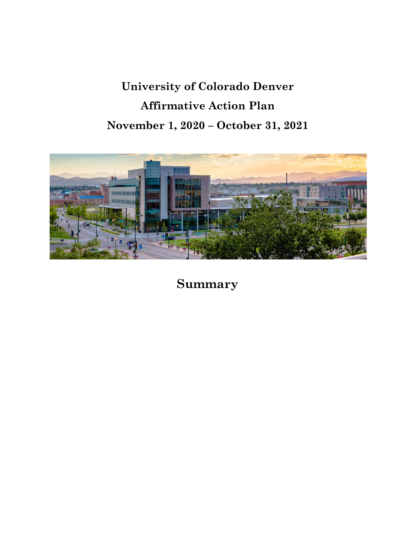# **University of Colorado Denver Affirmative Action Plan November 1, 2020 – October 31, 2021**



**Summary**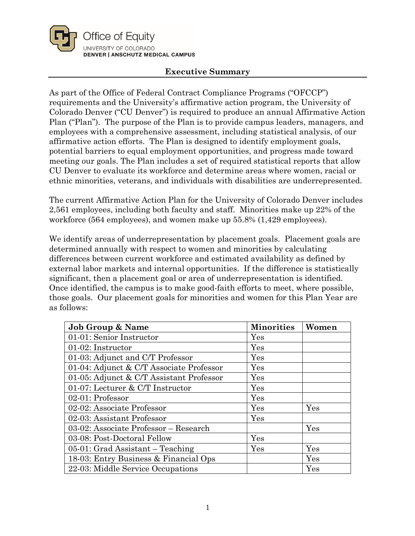

## **Executive Summary**

As part of the Office of Federal Contract Compliance Programs ("OFCCP") requirements and the University's affirmative action program, the University of Colorado Denver ("CU Denver") is required to produce an annual Affirmative Action Plan ("Plan"). The purpose of the Plan is to provide campus leaders, managers, and employees with a comprehensive assessment, including statistical analysis, of our affirmative action efforts. The Plan is designed to identify employment goals, potential barriers to equal employment opportunities, and progress made toward meeting our goals. The Plan includes a set of required statistical reports that allow CU Denver to evaluate its workforce and determine areas where women, racial or ethnic minorities, veterans, and individuals with disabilities are underrepresented.

The current Affirmative Action Plan for the University of Colorado Denver includes 2,561 employees, including both faculty and staff. Minorities make up 22% of the workforce (564 employees), and women make up 55.8% (1,429 employees).

We identify areas of underrepresentation by placement goals. Placement goals are determined annually with respect to women and minorities by calculating differences between current workforce and estimated availability as defined by external labor markets and internal opportunities. If the difference is statistically significant, then a placement goal or area of underrepresentation is identified. Once identified, the campus is to make good-faith efforts to meet, where possible, those goals. Our placement goals for minorities and women for this Plan Year are as follows:

| <b>Job Group &amp; Name</b>              | <b>Minorities</b> | Women |
|------------------------------------------|-------------------|-------|
| 01-01: Senior Instructor                 | Yes               |       |
| 01-02: Instructor                        | Yes               |       |
| 01-03: Adjunct and C/T Professor         | Yes               |       |
| 01-04: Adjunct & C/T Associate Professor | Yes               |       |
| 01-05: Adjunct & C/T Assistant Professor | Yes               |       |
| 01-07: Lecturer & C/T Instructor         | Yes               |       |
| 02-01: Professor                         | Yes               |       |
| 02-02: Associate Professor               | Yes               | Yes   |
| 02-03: Assistant Professor               | Yes               |       |
| 03-02: Associate Professor - Research    |                   | Yes   |
| 03-08: Post-Doctoral Fellow              | Yes               |       |
| $05-01$ : Grad Assistant – Teaching      | Yes               | Yes   |
| 18-03: Entry Business & Financial Ops    |                   | Yes   |
| 22-03: Middle Service Occupations        |                   | Yes   |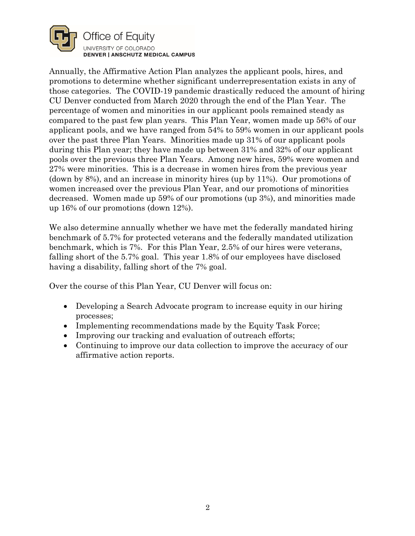

Annually, the Affirmative Action Plan analyzes the applicant pools, hires, and promotions to determine whether significant underrepresentation exists in any of those categories. The COVID-19 pandemic drastically reduced the amount of hiring CU Denver conducted from March 2020 through the end of the Plan Year. The percentage of women and minorities in our applicant pools remained steady as compared to the past few plan years. This Plan Year, women made up 56% of our applicant pools, and we have ranged from 54% to 59% women in our applicant pools over the past three Plan Years. Minorities made up 31% of our applicant pools during this Plan year; they have made up between 31% and 32% of our applicant pools over the previous three Plan Years. Among new hires, 59% were women and 27% were minorities. This is a decrease in women hires from the previous year (down by 8%), and an increase in minority hires (up by 11%). Our promotions of women increased over the previous Plan Year, and our promotions of minorities decreased. Women made up 59% of our promotions (up 3%), and minorities made up 16% of our promotions (down 12%).

We also determine annually whether we have met the federally mandated hiring benchmark of 5.7% for protected veterans and the federally mandated utilization benchmark, which is 7%. For this Plan Year, 2.5% of our hires were veterans, falling short of the 5.7% goal. This year 1.8% of our employees have disclosed having a disability, falling short of the 7% goal.

Over the course of this Plan Year, CU Denver will focus on:

- Developing a Search Advocate program to increase equity in our hiring processes;
- Implementing recommendations made by the Equity Task Force;
- Improving our tracking and evaluation of outreach efforts;
- Continuing to improve our data collection to improve the accuracy of our affirmative action reports.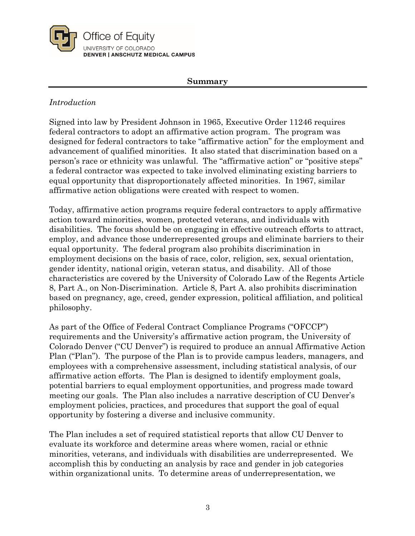

#### **Summary**

## *Introduction*

Signed into law by President Johnson in 1965, Executive Order 11246 requires federal contractors to adopt an affirmative action program. The program was designed for federal contractors to take "affirmative action" for the employment and advancement of qualified minorities. It also stated that discrimination based on a person's race or ethnicity was unlawful. The "affirmative action" or "positive steps" a federal contractor was expected to take involved eliminating existing barriers to equal opportunity that disproportionately affected minorities. In 1967, similar affirmative action obligations were created with respect to women.

Today, affirmative action programs require federal contractors to apply affirmative action toward minorities, women, protected veterans, and individuals with disabilities. The focus should be on engaging in effective outreach efforts to attract, employ, and advance those underrepresented groups and eliminate barriers to their equal opportunity. The federal program also prohibits discrimination in employment decisions on the basis of race, color, religion, sex, sexual orientation, gender identity, national origin, veteran status, and disability. All of those characteristics are covered by the University of Colorado Law of the Regents Article 8, Part A., on Non-Discrimination. Article 8, Part A. also prohibits discrimination based on pregnancy, age, creed, gender expression, political affiliation, and political philosophy.

As part of the Office of Federal Contract Compliance Programs ("OFCCP") requirements and the University's affirmative action program, the University of Colorado Denver ("CU Denver") is required to produce an annual Affirmative Action Plan ("Plan"). The purpose of the Plan is to provide campus leaders, managers, and employees with a comprehensive assessment, including statistical analysis, of our affirmative action efforts. The Plan is designed to identify employment goals, potential barriers to equal employment opportunities, and progress made toward meeting our goals. The Plan also includes a narrative description of CU Denver's employment policies, practices, and procedures that support the goal of equal opportunity by fostering a diverse and inclusive community.

The Plan includes a set of required statistical reports that allow CU Denver to evaluate its workforce and determine areas where women, racial or ethnic minorities, veterans, and individuals with disabilities are underrepresented. We accomplish this by conducting an analysis by race and gender in job categories within organizational units. To determine areas of underrepresentation, we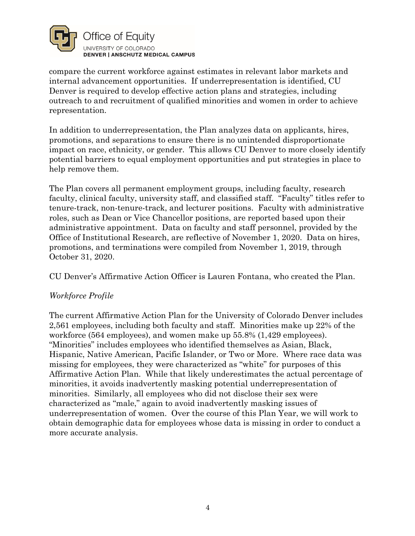

compare the current workforce against estimates in relevant labor markets and internal advancement opportunities. If underrepresentation is identified, CU Denver is required to develop effective action plans and strategies, including outreach to and recruitment of qualified minorities and women in order to achieve representation.

In addition to underrepresentation, the Plan analyzes data on applicants, hires, promotions, and separations to ensure there is no unintended disproportionate impact on race, ethnicity, or gender. This allows CU Denver to more closely identify potential barriers to equal employment opportunities and put strategies in place to help remove them.

The Plan covers all permanent employment groups, including faculty, research faculty, clinical faculty, university staff, and classified staff. "Faculty" titles refer to tenure-track, non-tenure-track, and lecturer positions. Faculty with administrative roles, such as Dean or Vice Chancellor positions, are reported based upon their administrative appointment. Data on faculty and staff personnel, provided by the Office of Institutional Research, are reflective of November 1, 2020. Data on hires, promotions, and terminations were compiled from November 1, 2019, through October 31, 2020.

CU Denver's Affirmative Action Officer is Lauren Fontana, who created the Plan.

## *Workforce Profile*

The current Affirmative Action Plan for the University of Colorado Denver includes 2,561 employees, including both faculty and staff. Minorities make up 22% of the workforce (564 employees), and women make up 55.8% (1,429 employees). "Minorities" includes employees who identified themselves as Asian, Black, Hispanic, Native American, Pacific Islander, or Two or More. Where race data was missing for employees, they were characterized as "white" for purposes of this Affirmative Action Plan. While that likely underestimates the actual percentage of minorities, it avoids inadvertently masking potential underrepresentation of minorities. Similarly, all employees who did not disclose their sex were characterized as "male," again to avoid inadvertently masking issues of underrepresentation of women. Over the course of this Plan Year, we will work to obtain demographic data for employees whose data is missing in order to conduct a more accurate analysis.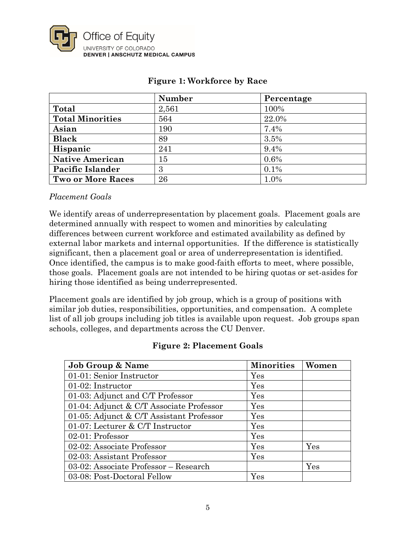

|                          | <b>Number</b> | Percentage |
|--------------------------|---------------|------------|
| Total                    | 2,561         | 100%       |
| <b>Total Minorities</b>  | 564           | 22.0%      |
| Asian                    | 190           | 7.4%       |
| <b>Black</b>             | 89            | 3.5%       |
| Hispanic                 | 241           | 9.4%       |
| <b>Native American</b>   | 15            | 0.6%       |
| Pacific Islander         | 3             | $0.1\%$    |
| <b>Two or More Races</b> | 26            | 1.0%       |

# **Figure 1: Workforce by Race**

## *Placement Goals*

We identify areas of underrepresentation by placement goals. Placement goals are determined annually with respect to women and minorities by calculating differences between current workforce and estimated availability as defined by external labor markets and internal opportunities. If the difference is statistically significant, then a placement goal or area of underrepresentation is identified. Once identified, the campus is to make good-faith efforts to meet, where possible, those goals. Placement goals are not intended to be hiring quotas or set-asides for hiring those identified as being underrepresented.

Placement goals are identified by job group, which is a group of positions with similar job duties, responsibilities, opportunities, and compensation. A complete list of all job groups including job titles is available upon request. Job groups span schools, colleges, and departments across the CU Denver.

## **Figure 2: Placement Goals**

| <b>Job Group &amp; Name</b>              | <b>Minorities</b>    | Women |
|------------------------------------------|----------------------|-------|
| 01-01: Senior Instructor                 | $\operatorname{Yes}$ |       |
| 01-02: Instructor                        | Yes                  |       |
| 01-03: Adjunct and C/T Professor         | Yes                  |       |
| 01-04: Adjunct & C/T Associate Professor | Yes                  |       |
| 01-05: Adjunct & C/T Assistant Professor | Yes                  |       |
| 01-07: Lecturer & C/T Instructor         | Yes                  |       |
| 02-01: Professor                         | Yes                  |       |
| 02-02: Associate Professor               | Yes                  | Yes   |
| 02-03: Assistant Professor               | Yes                  |       |
| 03-02: Associate Professor – Research    |                      | Yes   |
| 03-08: Post-Doctoral Fellow              | $\operatorname{Yes}$ |       |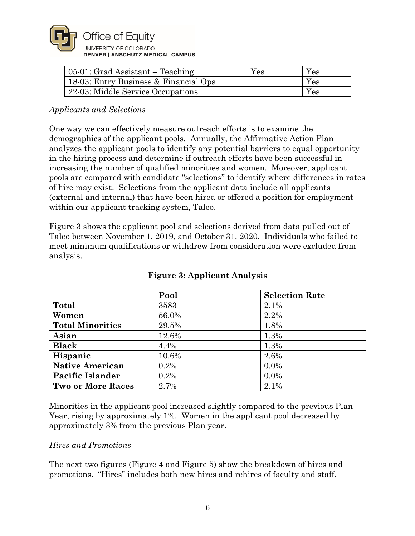

| $05-01$ : Grad Assistant – Teaching   | Yes | Yes                  |
|---------------------------------------|-----|----------------------|
| 18-03: Entry Business & Financial Ops |     | $\operatorname{Yes}$ |
| 22-03: Middle Service Occupations     |     | $\operatorname{Yes}$ |

## *Applicants and Selections*

One way we can effectively measure outreach efforts is to examine the demographics of the applicant pools. Annually, the Affirmative Action Plan analyzes the applicant pools to identify any potential barriers to equal opportunity in the hiring process and determine if outreach efforts have been successful in increasing the number of qualified minorities and women. Moreover, applicant pools are compared with candidate "selections" to identify where differences in rates of hire may exist. Selections from the applicant data include all applicants (external and internal) that have been hired or offered a position for employment within our applicant tracking system, Taleo.

Figure 3 shows the applicant pool and selections derived from data pulled out of Taleo between November 1, 2019, and October 31, 2020. Individuals who failed to meet minimum qualifications or withdrew from consideration were excluded from analysis.

|                          | Pool  | <b>Selection Rate</b> |
|--------------------------|-------|-----------------------|
| Total                    | 3583  | 2.1%                  |
| Women                    | 56.0% | 2.2%                  |
| <b>Total Minorities</b>  | 29.5% | 1.8%                  |
| Asian                    | 12.6% | 1.3%                  |
| <b>Black</b>             | 4.4%  | 1.3%                  |
| Hispanic                 | 10.6% | 2.6%                  |
| <b>Native American</b>   | 0.2%  | $0.0\%$               |
| Pacific Islander         | 0.2%  | $0.0\%$               |
| <b>Two or More Races</b> | 2.7%  | 2.1%                  |

# **Figure 3: Applicant Analysis**

Minorities in the applicant pool increased slightly compared to the previous Plan Year, rising by approximately 1%. Women in the applicant pool decreased by approximately 3% from the previous Plan year.

## *Hires and Promotions*

The next two figures (Figure 4 and Figure 5) show the breakdown of hires and promotions. "Hires" includes both new hires and rehires of faculty and staff.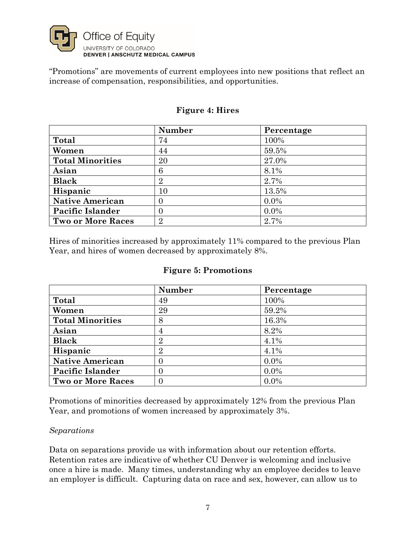

"Promotions" are movements of current employees into new positions that reflect an increase of compensation, responsibilities, and opportunities.

|                          | Number         | Percentage |
|--------------------------|----------------|------------|
| Total                    | 74             | 100%       |
| Women                    | 44             | 59.5%      |
| <b>Total Minorities</b>  | 20             | 27.0%      |
| Asian                    | 6              | 8.1%       |
| <b>Black</b>             | $\overline{2}$ | 2.7%       |
| Hispanic                 | 10             | 13.5%      |
| <b>Native American</b>   | $\Omega$       | $0.0\%$    |
| <b>Pacific Islander</b>  | $\Omega$       | $0.0\%$    |
| <b>Two or More Races</b> | $\overline{2}$ | 2.7%       |

## **Figure 4: Hires**

Hires of minorities increased by approximately 11% compared to the previous Plan Year, and hires of women decreased by approximately 8%.

## **Figure 5: Promotions**

|                          | Number            | Percentage |
|--------------------------|-------------------|------------|
| Total                    | 49                | 100%       |
| Women                    | 29                | 59.2%      |
| <b>Total Minorities</b>  | 8                 | 16.3%      |
| Asian                    | $\overline{4}$    | 8.2%       |
| <b>Black</b>             | $\overline{2}$    | 4.1%       |
| Hispanic                 | $\overline{2}$    | 4.1%       |
| <b>Native American</b>   | 0                 | $0.0\%$    |
| <b>Pacific Islander</b>  | $\mathbf{\Omega}$ | $0.0\%$    |
| <b>Two or More Races</b> |                   | $0.0\%$    |

Promotions of minorities decreased by approximately 12% from the previous Plan Year, and promotions of women increased by approximately 3%.

## *Separations*

Data on separations provide us with information about our retention efforts. Retention rates are indicative of whether CU Denver is welcoming and inclusive once a hire is made. Many times, understanding why an employee decides to leave an employer is difficult. Capturing data on race and sex, however, can allow us to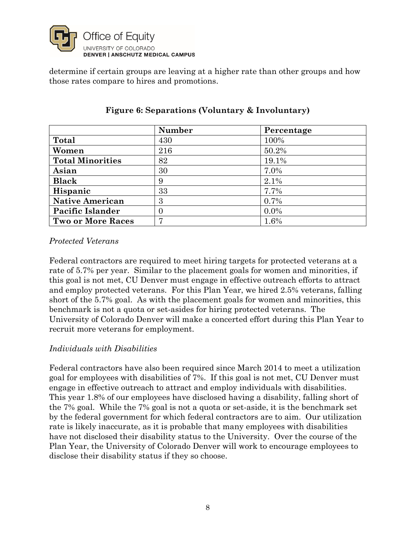

determine if certain groups are leaving at a higher rate than other groups and how those rates compare to hires and promotions.

|                          | <b>Number</b> | Percentage |
|--------------------------|---------------|------------|
| Total                    | 430           | 100%       |
| Women                    | 216           | 50.2%      |
| <b>Total Minorities</b>  | 82            | 19.1%      |
| Asian                    | 30            | 7.0%       |
| <b>Black</b>             | 9             | 2.1%       |
| Hispanic                 | 33            | 7.7%       |
| <b>Native American</b>   | 3             | 0.7%       |
| Pacific Islander         | 0             | $0.0\%$    |
| <b>Two or More Races</b> | 7             | 1.6%       |

# **Figure 6: Separations (Voluntary & Involuntary)**

## *Protected Veterans*

Federal contractors are required to meet hiring targets for protected veterans at a rate of 5.7% per year. Similar to the placement goals for women and minorities, if this goal is not met, CU Denver must engage in effective outreach efforts to attract and employ protected veterans. For this Plan Year, we hired 2.5% veterans, falling short of the 5.7% goal. As with the placement goals for women and minorities, this benchmark is not a quota or set-asides for hiring protected veterans. The University of Colorado Denver will make a concerted effort during this Plan Year to recruit more veterans for employment.

## *Individuals with Disabilities*

Federal contractors have also been required since March 2014 to meet a utilization goal for employees with disabilities of 7%. If this goal is not met, CU Denver must engage in effective outreach to attract and employ individuals with disabilities. This year 1.8% of our employees have disclosed having a disability, falling short of the 7% goal. While the 7% goal is not a quota or set-aside, it is the benchmark set by the federal government for which federal contractors are to aim. Our utilization rate is likely inaccurate, as it is probable that many employees with disabilities have not disclosed their disability status to the University. Over the course of the Plan Year, the University of Colorado Denver will work to encourage employees to disclose their disability status if they so choose.